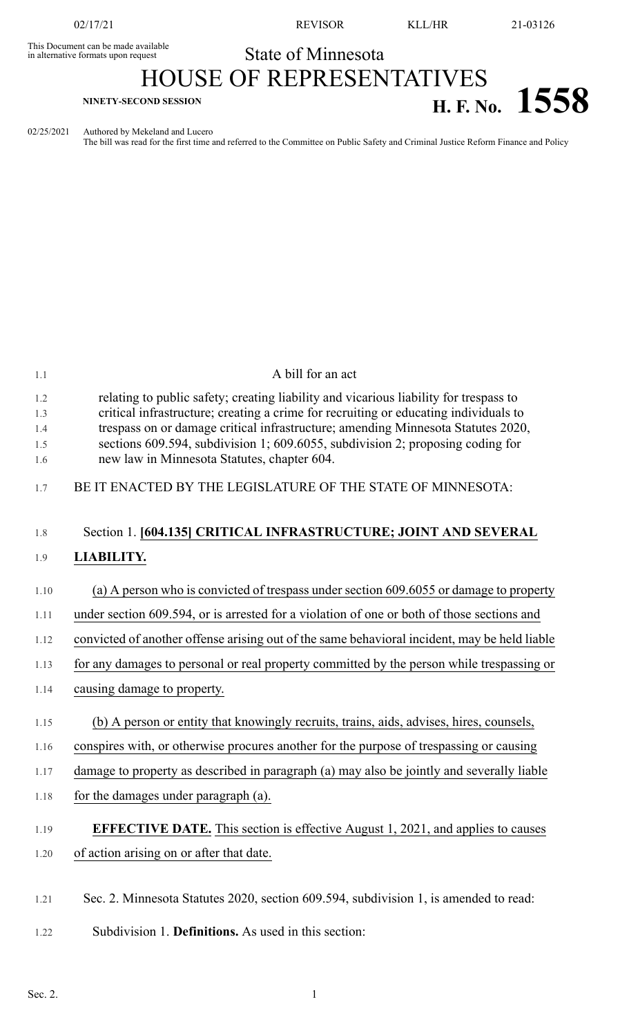This Document can be made available<br>in alternative formats upon request

02/17/21 REVISOR KLL/HR 21-03126

## State of Minnesota HOUSE OF REPRESENTATIVES **H. F. No. 1558**

02/25/2021 Authored by Mekeland and Lucero

The bill was read for the first time and referred to the Committee on Public Safety and Criminal Justice Reform Finance and Policy

| 1.1                             | A bill for an act                                                                                                                                                                                                                                                                                                                                                                                  |
|---------------------------------|----------------------------------------------------------------------------------------------------------------------------------------------------------------------------------------------------------------------------------------------------------------------------------------------------------------------------------------------------------------------------------------------------|
| 1.2<br>1.3<br>1.4<br>1.5<br>1.6 | relating to public safety; creating liability and vicarious liability for trespass to<br>critical infrastructure; creating a crime for recruiting or educating individuals to<br>trespass on or damage critical infrastructure; amending Minnesota Statutes 2020,<br>sections 609.594, subdivision 1; 609.6055, subdivision 2; proposing coding for<br>new law in Minnesota Statutes, chapter 604. |
| 1.7                             | BE IT ENACTED BY THE LEGISLATURE OF THE STATE OF MINNESOTA:                                                                                                                                                                                                                                                                                                                                        |
| 1.8                             | Section 1. [604.135] CRITICAL INFRASTRUCTURE; JOINT AND SEVERAL                                                                                                                                                                                                                                                                                                                                    |
| 1.9                             | LIABILITY.                                                                                                                                                                                                                                                                                                                                                                                         |
| 1.10                            | (a) A person who is convicted of trespass under section 609.6055 or damage to property                                                                                                                                                                                                                                                                                                             |
| 1.11                            | under section 609.594, or is arrested for a violation of one or both of those sections and                                                                                                                                                                                                                                                                                                         |
| 1.12                            | convicted of another offense arising out of the same behavioral incident, may be held liable                                                                                                                                                                                                                                                                                                       |
| 1.13                            | for any damages to personal or real property committed by the person while trespassing or                                                                                                                                                                                                                                                                                                          |
| 1.14                            | causing damage to property.                                                                                                                                                                                                                                                                                                                                                                        |
| 1.15                            | (b) A person or entity that knowingly recruits, trains, aids, advises, hires, counsels,                                                                                                                                                                                                                                                                                                            |
| 1.16                            | conspires with, or otherwise procures another for the purpose of trespassing or causing                                                                                                                                                                                                                                                                                                            |
| 1.17                            | damage to property as described in paragraph (a) may also be jointly and severally liable                                                                                                                                                                                                                                                                                                          |
| 1.18                            | for the damages under paragraph (a).                                                                                                                                                                                                                                                                                                                                                               |
| 1.19                            | <b>EFFECTIVE DATE.</b> This section is effective August 1, 2021, and applies to causes                                                                                                                                                                                                                                                                                                             |
| 1.20                            | of action arising on or after that date.                                                                                                                                                                                                                                                                                                                                                           |
| 1.21                            | Sec. 2. Minnesota Statutes 2020, section 609.594, subdivision 1, is amended to read:                                                                                                                                                                                                                                                                                                               |
| 1.22                            | Subdivision 1. Definitions. As used in this section:                                                                                                                                                                                                                                                                                                                                               |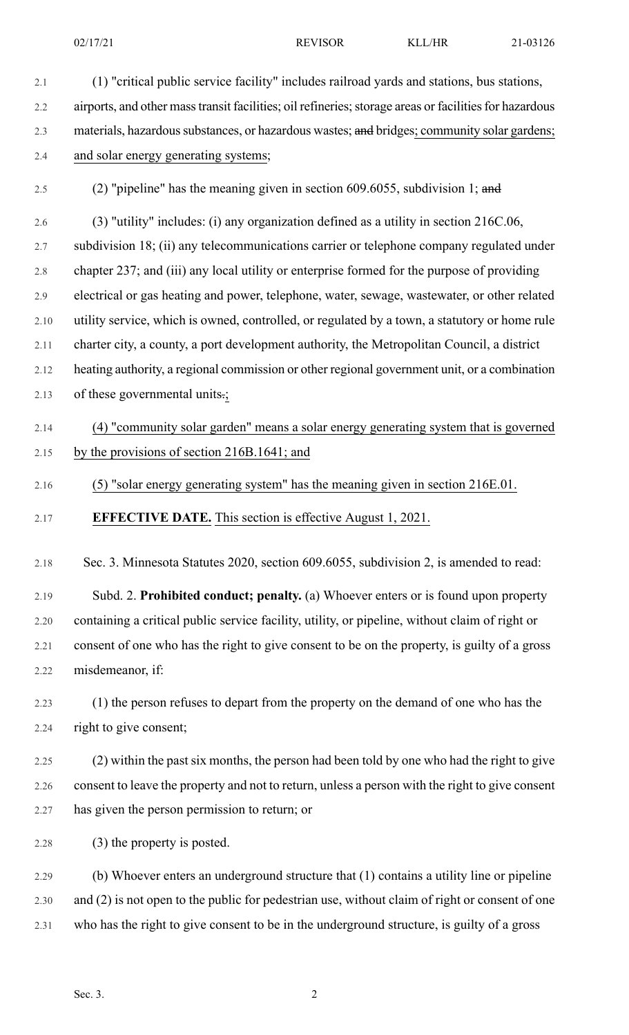2.1 (1) "critical public service facility" includes railroad yards and stations, bus stations, 2.2 airports, and other mass transit facilities; oil refineries; storage areas or facilities for hazardous 2.3 materials, hazardous substances, or hazardous wastes; and bridges; community solar gardens; 2.4 and solar energy generating systems; 2.5 (2) "pipeline" has the meaning given in section 609.6055, subdivision 1; and 2.6 (3) "utility" includes: (i) any organization defined as a utility in section 216C.06, 2.7 subdivision 18; (ii) any telecommunications carrier or telephone company regulated under 2.8 chapter 237; and (iii) any local utility or enterprise formed for the purpose of providing 2.9 electrical or gas heating and power, telephone, water, sewage, wastewater, or other related 2.10 utility service, which is owned, controlled, or regulated by a town, a statutory or home rule 2.11 charter city, a county, a port development authority, the Metropolitan Council, a district 2.12 heating authority, a regional commission or other regional government unit, or a combination 2.13 of these governmental units.; 2.14 (4) "community solar garden" means a solar energy generating system that is governed 2.15 by the provisions of section 216B.1641; and

## 2.16 (5) "solar energy generating system" has the meaning given in section 216E.01.

2.17 **EFFECTIVE DATE.** This section is effective August 1, 2021.

2.18 Sec. 3. Minnesota Statutes 2020, section 609.6055, subdivision 2, is amended to read:

2.19 Subd. 2. **Prohibited conduct; penalty.** (a) Whoever enters or is found upon property 2.20 containing a critical public service facility, utility, or pipeline, without claim of right or 2.21 consent of one who has the right to give consent to be on the property, is guilty of a gross 2.22 misdemeanor, if:

2.23 (1) the person refuses to depart from the property on the demand of one who has the 2.24 right to give consent;

2.25 (2) within the past six months, the person had been told by one who had the right to give 2.26 consent to leave the property and not to return, unless a person with the right to give consent 2.27 has given the person permission to return; or

2.28 (3) the property is posted.

2.29 (b) Whoever enters an underground structure that (1) contains a utility line or pipeline 2.30 and (2) is not open to the public for pedestrian use, without claim of right or consent of one 2.31 who has the right to give consent to be in the underground structure, is guilty of a gross